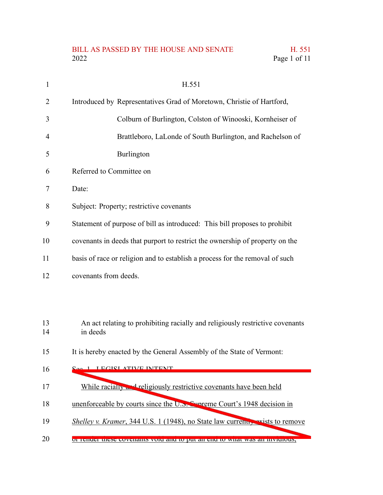## BILL AS PASSED BY THE HOUSE AND SENATE H. 551<br>2022 Page 1 of 11 Page 1 of 11

| $\mathbf{1}$   | H.551                                                                                     |
|----------------|-------------------------------------------------------------------------------------------|
| $\overline{2}$ | Introduced by Representatives Grad of Moretown, Christie of Hartford,                     |
| 3              | Colburn of Burlington, Colston of Winooski, Kornheiser of                                 |
| $\overline{4}$ | Brattleboro, LaLonde of South Burlington, and Rachelson of                                |
| 5              | Burlington                                                                                |
| 6              | Referred to Committee on                                                                  |
| 7              | Date:                                                                                     |
| 8              | Subject: Property; restrictive covenants                                                  |
| 9              | Statement of purpose of bill as introduced: This bill proposes to prohibit                |
| 10             | covenants in deeds that purport to restrict the ownership of property on the              |
| 11             | basis of race or religion and to establish a process for the removal of such              |
| 12             | covenants from deeds.                                                                     |
|                |                                                                                           |
| 13<br>14       | An act relating to prohibiting racially and religiously restrictive covenants<br>in deeds |
| 15             | It is hereby enacted by the General Assembly of the State of Vermont:                     |
| 16             | <u>I ECICI ATIVE INTENT</u>                                                               |
| 17             | While racially and religiously restrictive covenants have been held                       |
| 18             | unenforceable by courts since the U.S. Symmetric Court's 1948 decision in                 |
| 19             | <i>Shelley v. Kramer</i> , 344 U.S. 1 (1948), no State law current, exists to remove      |
| 20             | <u>ol tenuel mese covenants volu anu to put an enu to what was an invidious, </u>         |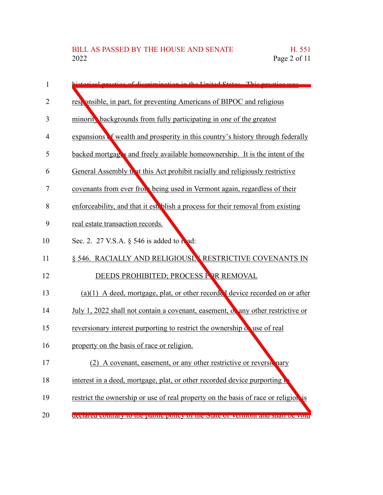| 1  | biotomical practice of discrimination in the United States. This practice was      |
|----|------------------------------------------------------------------------------------|
| 2  | responsible, in part, for preventing Americans of BIPOC and religious              |
| 3  | minorit, backgrounds from fully participating in one of the greatest               |
| 4  | expansions of wealth and prosperity in this country's history through federally    |
| 5  | backed mortgages and freely available homeownership. It is the intent of the       |
| 6  | General Assembly that this Act prohibit racially and religiously restrictive       |
| 7  | covenants from ever from being used in Vermont again, regardless of their          |
| 8  | enforceability, and that it est. blish a process for their removal from existing   |
| 9  | real estate transaction records.                                                   |
| 10 | Sec. 2. 27 V.S.A. § 546 is added to read:                                          |
| 11 | § 546. RACIALLY AND RELIGIOUSL RESTRICTIVE COVENANTS IN                            |
| 12 | DEEDS PROHIBITED; PROCESS FOR REMOVAL                                              |
| 13 | $(a)(1)$ A deed, mortgage, plat, or other recorded device recorded on or after     |
| 14 | July 1, 2022 shall not contain a covenant, easement, or any other restrictive or   |
| 15 | reversionary interest purporting to restrict the ownership of use of real          |
| 16 | property on the basis of race or religion.                                         |
| 17 | (2) A covenant, easement, or any other restrictive or reversiting                  |
| 18 | interest in a deed, mortgage, plat, or other recorded device purporting            |
| 19 | restrict the ownership or use of real property on the basis of race or religion is |
| 20 | decialed contrary to the public policy of the state of vermont and shall be volu-  |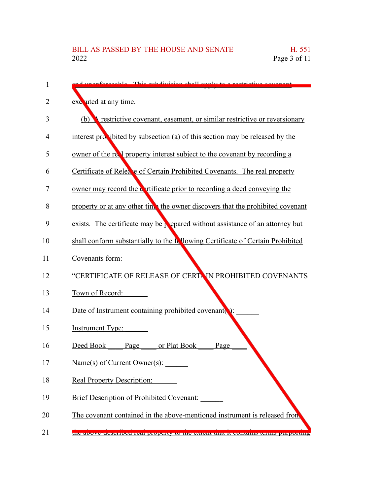| 1  | d unonformable. This subdivision shall apply to a restrictive equanopt            |
|----|-----------------------------------------------------------------------------------|
| 2  | exe uted at any time.                                                             |
| 3  | restrictive covenant, easement, or similar restrictive or reversionary<br>(b)     |
| 4  | interest provibited by subsection (a) of this section may be released by the      |
| 5  | owner of the relation property interest subject to the covenant by recording a    |
| 6  | Certificate of Relea e of Certain Prohibited Covenants. The real property         |
| 7  | owner may record the contracted prior to recording a deed conveying the           |
| 8  | property or at any other time the owner discovers that the prohibited covenant    |
| 9  | exists. The certificate may be prepared without assistance of an attorney but     |
| 10 | shall conform substantially to the following Certificate of Certain Prohibited    |
| 11 | Covenants form:                                                                   |
| 12 | "CERTIFICATE OF RELEASE OF CERTAIN PROHIBITED COVENANTS                           |
| 13 | Town of Record:                                                                   |
| 14 | Date of Instrument containing prohibited covenant                                 |
| 15 | <b>Instrument Type:</b>                                                           |
| 16 | or Plat Book<br>Deed Book<br>Page<br>Page                                         |
| 17 | Name(s) of Current Owner(s):                                                      |
| 18 | <b>Real Property Description:</b>                                                 |
| 19 | <b>Brief Description of Prohibited Covenant:</b>                                  |
| 20 | The covenant contained in the above-mentioned instrument is released from         |
| 21 | the above-described real property to the extent that it contains terms purporting |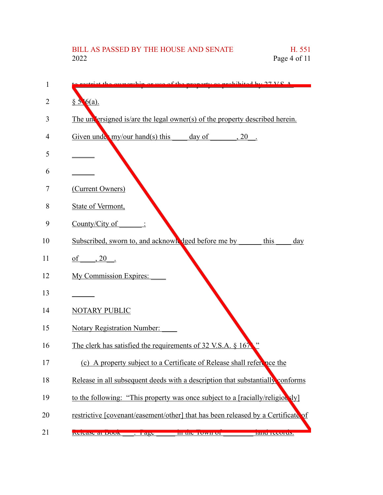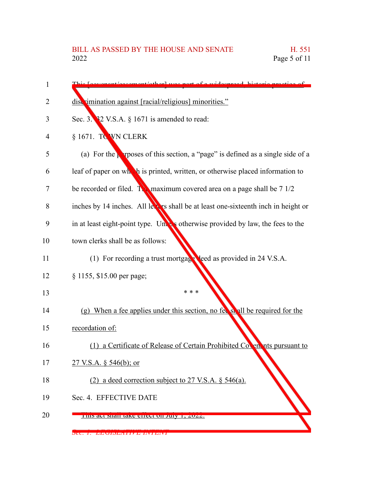| 1  | comput other was nort of a widesproad historia prostige of                              |
|----|-----------------------------------------------------------------------------------------|
| 2  | discrimination against [racial/religious] minorities."                                  |
| 3  | Sec. 3. $32$ V.S.A. $\S$ 1671 is amended to read:                                       |
| 4  | § 1671. TO WN CLERK                                                                     |
| 5  | (a) For the <b>p</b> reposes of this section, a "page" is defined as a single side of a |
| 6  | leaf of paper on which is printed, written, or otherwise placed information to          |
| 7  | be recorded or filed. Two maximum covered area on a page shall be $71/2$                |
| 8  | inches by 14 inches. All leves shall be at least one-sixteenth inch in height or        |
| 9  | in at least eight-point type. Unless otherwise provided by law, the fees to the         |
| 10 | town clerks shall be as follows:                                                        |
| 11 | (1) For recording a trust mortgage leed as provided in 24 V.S.A.                        |
| 12 | § 1155, \$15.00 per page;                                                               |
| 13 | * * *                                                                                   |
| 14 | (g) When a fee applies under this section, no fee shall be required for the             |
| 15 | recordation of:                                                                         |
| 16 | (1) a Certificate of Release of Certain Prohibited Coven nts pursuant to                |
| 17 | 27 V.S.A. $\S$ 546(b); or                                                               |
| 18 | (2) a deed correction subject to 27 V.S.A. § 546(a).                                    |
| 19 | Sec. 4. EFFECTIVE DATE                                                                  |
| 20 | THIS act shall take effect on July 1, 2022.                                             |

 $\mathbf{v}$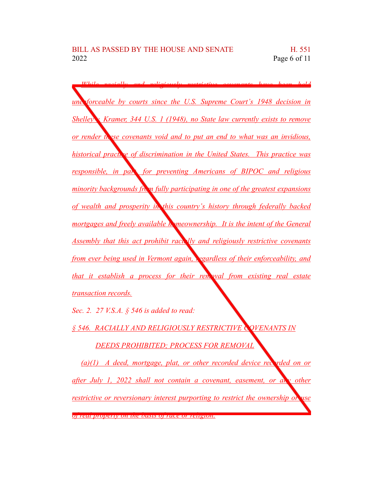*While racially and religiously restrictive covenants have been held unenforceable by courts since the U.S. Supreme Court's 1948 decision in Shelley v. Kramer, 344 U.S. 1 (1948), no State law currently exists to remove or render these covenants void and to put an end to what was an invidious, historical practice of discrimination in the United States. This practice was responsible, in part, for preventing Americans of BIPOC and religious minority backgrounds from fully participating in one of the greatest expansions of wealth and prosperity in this country's history through federally backed mortgages and freely available homeownership. It is the intent of the General Assembly that this act prohibit racially and religiously restrictive covenants from ever being used in Vermont again, regardless of their enforceability, and that it establish a process for their removal from existing real estate transaction records.*

*Sec. 2. 27 V.S.A. § 546 is added to read:*

*§ 546. RACIALLY AND RELIGIOUSLY RESTRICTIVE COVENANTS IN*

*DEEDS PROHIBITED; PROCESS FOR REMOVAL*

*(a)(1) A deed, mortgage, plat, or other recorded device recorded on or after July 1, 2022 shall not contain a covenant, easement, or any other restrictive or reversionary interest purporting to restrict the ownership or use of real property on the basis of race or religion.*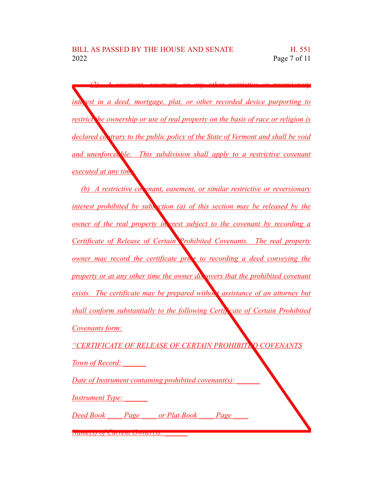*(2) A covenant, easement, or any other restrictive or reversionary interest in a deed, mortgage, plat, or other recorded device purporting to restrict the ownership or use of real property on the basis of race or religion is declared contrary to the public policy of the State of Vermont and shall be void and unenforceable. This subdivision shall apply to a restrictive covenant executed at any time*. *(b) A restrictive covenant, easement, or similar restrictive or reversionary interest prohibited by subs ction* (*a) of this section may be released by the owner of the real property in grest subject to the covenant by recording a Certificate of Release of Certain Prohibited Covenants. The real property owner may record the certificate prior to recording a deed conveying the property or at any other time the owner discovers that the prohibited covenant exists. The certificate may be prepared without assistance of an attorney but shall conform substantially to the following Certificate of Certain Prohibited Covenants form: "CERTIFICATE OF RELEASE OF CERTAIN PROHIBITED COVENANTS Town of Record: \_\_\_\_\_\_ Date of Instrument containing prohibited covenant(s): \_\_\_\_\_\_ Instrument Type: \_\_\_\_\_\_ Deed Book \_\_\_\_ Page \_\_\_\_ or Plat Book \_\_\_\_ Page \_\_\_\_*

*Name(s) of Current Owner(s): \_\_\_\_\_\_*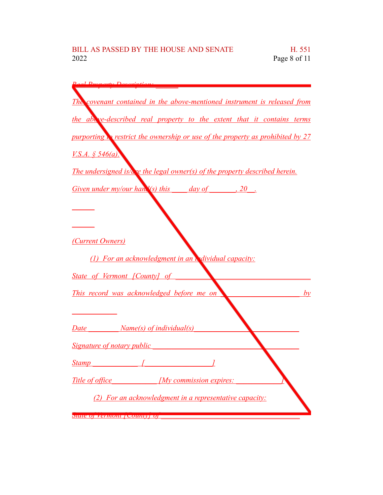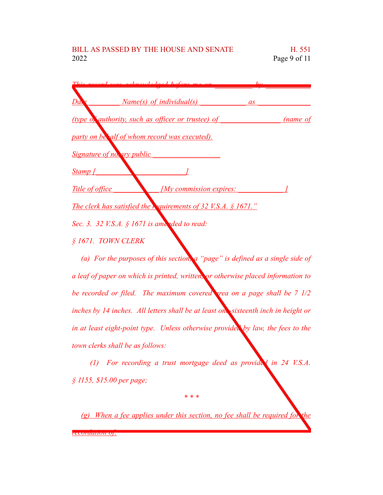| doed before me                                                        |          |
|-----------------------------------------------------------------------|----------|
| Dave<br><u>Name(s) of individual(s)</u><br><i>as</i>                  |          |
| (type of authority, such as officer or trustee) of                    | (name of |
| party on behalf of whom record was executed).                         |          |
| Signature of notary public                                            |          |
| Stamp [                                                               |          |
| Title of office<br>[My commission expires:                            |          |
| The clerk has satisfied the <b>Requirements of 32 V.S.A.</b> § 1671." |          |
| Sec. 3. 32 V.S.A. § 1671 is amended to read:                          |          |
| § 1671. TOWN CLERK                                                    |          |

*(a) For the purposes of this section, a "page" is defined as a single side of a leaf of paper on which is printed, written, or otherwise placed information to be recorded or filed. The maximum covered area on a page shall be 7 1/2 inches by 14 inches. All letters shall be at least one-sixteenth inch in height or in at least eight-point type. Unless otherwise provided by law, the fees to the town clerks shall be as follows:*

*(1) For recording a trust mortgage deed as provided in 24 V.S.A. § 1155, \$15.00 per page;*

*(g) When a fee applies under this section, no fee shall be required for the recordation of:*

*\* \* \**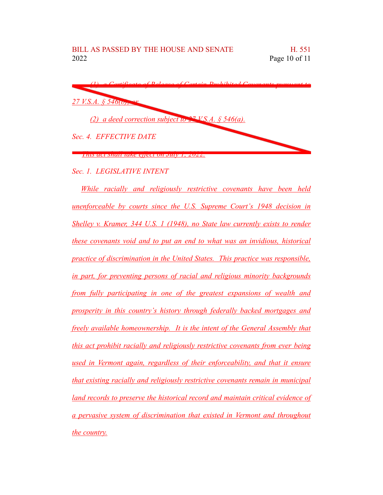| (1) a Contificate of Polages of Contain Duplibited Covenante puressant to |
|---------------------------------------------------------------------------|
| $27$ V.S.A. § 546 ( $\sigma$ ),                                           |
| (2) a deed correction subject to $27$ VS.A. § 546(a).                     |
| Sec. 4. EFFECTIVE DATE                                                    |
| <u>This act shall take effect on July 1, 2022.</u>                        |

*Sec. 1. LEGISLATIVE INTENT*

*While racially and religiously restrictive covenants have been held unenforceable by courts since the U.S. Supreme Court's 1948 decision in Shelley v. Kramer, 344 U.S. 1 (1948), no State law currently exists to render these covenants void and to put an end to what was an invidious, historical practice of discrimination in the United States. This practice was responsible, in part, for preventing persons of racial and religious minority backgrounds from fully participating in one of the greatest expansions of wealth and prosperity in this country's history through federally backed mortgages and freely available homeownership. It is the intent of the General Assembly that this act prohibit racially and religiously restrictive covenants from ever being used in Vermont again, regardless of their enforceability, and that it ensure that existing racially and religiously restrictive covenants remain in municipal land records to preserve the historical record and maintain critical evidence of a pervasive system of discrimination that existed in Vermont and throughout the country.*